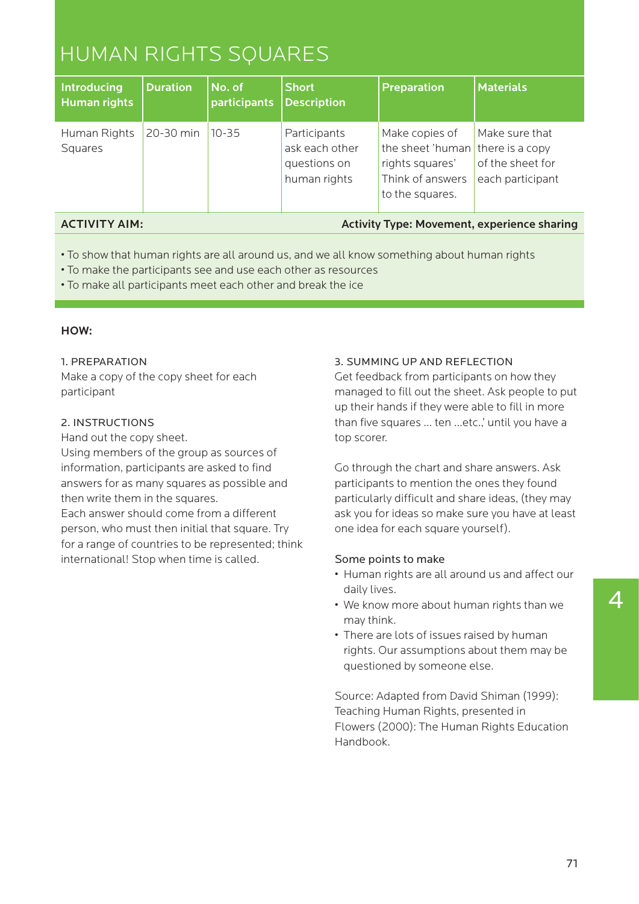# HUMAN RIGHTS SQUARES

| <b>Introducing</b><br><b>Human rights</b> | <b>Duration</b> | $ $ No. of<br>participants Description | <b>Short</b>                                                   | <b>Preparation</b>                                                                                           | <b>Materials</b>                                       |
|-------------------------------------------|-----------------|----------------------------------------|----------------------------------------------------------------|--------------------------------------------------------------------------------------------------------------|--------------------------------------------------------|
| Human Rights<br>Squares                   | 20-30 min       | $10 - 35$                              | Participants<br>ask each other<br>questions on<br>human rights | Make copies of<br>the sheet 'human there is a copy<br>rights squares'<br>Think of answers<br>to the squares. | Make sure that<br>of the sheet for<br>each participant |

# ACTIVITY AIM:

# Activity Type: Movement, experience sharing

- To show that human rights are all around us, and we all know something about human rights
- To make the participants see and use each other as resources
- To make all participants meet each other and break the ice

# HOW:

#### 1. PREPARATION

Make a copy of the copy sheet for each participant

#### 2. INSTRUCTIONS

Hand out the copy sheet.

Using members of the group as sources of information, participants are asked to find answers for as many squares as possible and then write them in the squares.

Each answer should come from a different person, who must then initial that square. Try for a range of countries to be represented; think international! Stop when time is called.

#### 3. SUMMING UP AND REFLECTION

Get feedback from participants on how they managed to fill out the sheet. Ask people to put up their hands if they were able to fill in more than five squares … ten …etc.,' until you have a top scorer.

Go through the chart and share answers. Ask participants to mention the ones they found particularly difficult and share ideas, (they may ask you for ideas so make sure you have at least one idea for each square yourself).

#### Some points to make

- Human rights are all around us and affect our daily lives.
- We know more about human rights than we may think.
- There are lots of issues raised by human rights. Our assumptions about them may be questioned by someone else.

Source: Adapted from David Shiman (1999): Teaching Human Rights, presented in Flowers (2000): The Human Rights Education Handbook.